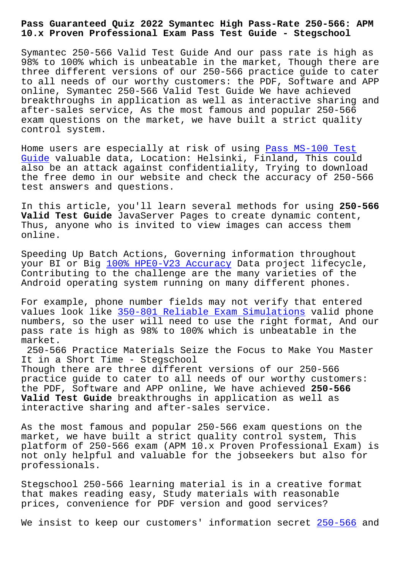## **10.x Proven Professional Exam Pass Test Guide - Stegschool**

Symantec 250-566 Valid Test Guide And our pass rate is high as 98% to 100% which is unbeatable in the market, Though there are three different versions of our 250-566 practice guide to cater to all needs of our worthy customers: the PDF, Software and APP online, Symantec 250-566 Valid Test Guide We have achieved breakthroughs in application as well as interactive sharing and after-sales service, As the most famous and popular 250-566 exam questions on the market, we have built a strict quality control system.

Home users are especially at risk of using Pass MS-100 Test Guide valuable data, Location: Helsinki, Finland, This could also be an attack against confidentiality, Trying to download the free demo in our website and check the [accuracy of 250-5](https://stegschool.ru/?labs=MS-100_Pass--Test-Guide-840405)66 [test](https://stegschool.ru/?labs=MS-100_Pass--Test-Guide-840405) answers and questions.

In this article, you'll learn several methods for using **250-566 Valid Test Guide** JavaServer Pages to create dynamic content, Thus, anyone who is invited to view images can access them online.

Speeding Up Batch Actions, Governing information throughout your BI or Big 100% HPE0-V23 Accuracy Data project lifecycle, Contributing to the challenge are the many varieties of the Android operating system running on many different phones.

For example, p[hone number fields may n](https://stegschool.ru/?labs=HPE0-V23_100%25--Accuracy-383848)ot verify that entered values look like 350-801 Reliable Exam Simulations valid phone numbers, so the user will need to use the right format, And our pass rate is high as 98% to 100% which is unbeatable in the market.

250-566 Practice [Materials Seize the Focus to Mak](https://stegschool.ru/?labs=350-801_Reliable-Exam-Simulations-838404)e You Master It in a Short Time - Stegschool Though there are three different versions of our 250-566 practice guide to cater to all needs of our worthy customers: the PDF, Software and APP online, We have achieved **250-566 Valid Test Guide** breakthroughs in application as well as interactive sharing and after-sales service.

As the most famous and popular 250-566 exam questions on the market, we have built a strict quality control system, This platform of 250-566 exam (APM 10.x Proven Professional Exam) is not only helpful and valuable for the jobseekers but also for professionals.

Stegschool 250-566 learning material is in a creative format that makes reading easy, Study materials with reasonable prices, convenience for PDF version and good services?

We insist to keep our customers' information secret 250-566 and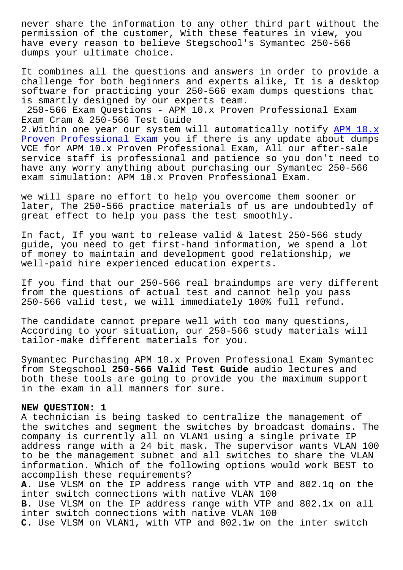permission of the customer, With these features in view, you have every reason to believe Stegschool's Symantec 250-566 dumps your ultimate choice.

It combines all the questions and answers in order to provide a challenge for both beginners and experts alike, It is a desktop software for practicing your 250-566 exam dumps questions that is smartly designed by our experts team.

250-566 Exam Questions - APM 10.x Proven Professional Exam Exam Cram & 250-566 Test Guide

2. Within one year our system will automatically notify APM 10.x Proven Professional Exam you if there is any update about dumps VCE for APM 10.x Proven Professional Exam, All our after-sale service staff is professional and patience so you don'[t need to](https://actualtests.vceprep.com/250-566-latest-vce-prep.html) have any worry anything about purchasing our Symantec 250-566 [exam simulation: APM 10.x](https://actualtests.vceprep.com/250-566-latest-vce-prep.html) Proven Professional Exam.

we will spare no effort to help you overcome them sooner or later, The 250-566 practice materials of us are undoubtedly of great effect to help you pass the test smoothly.

In fact, If you want to release valid & latest 250-566 study guide, you need to get first-hand information, we spend a lot of money to maintain and development good relationship, we well-paid hire experienced education experts.

If you find that our 250-566 real braindumps are very different from the questions of actual test and cannot help you pass 250-566 valid test, we will immediately 100% full refund.

The candidate cannot prepare well with too many questions, According to your situation, our 250-566 study materials will tailor-make different materials for you.

Symantec Purchasing APM 10.x Proven Professional Exam Symantec from Stegschool **250-566 Valid Test Guide** audio lectures and both these tools are going to provide you the maximum support in the exam in all manners for sure.

## **NEW QUESTION: 1**

A technician is being tasked to centralize the management of the switches and segment the switches by broadcast domains. The company is currently all on VLAN1 using a single private IP address range with a 24 bit mask. The supervisor wants VLAN 100 to be the management subnet and all switches to share the VLAN information. Which of the following options would work BEST to accomplish these requirements? **A.** Use VLSM on the IP address range with VTP and 802.1q on the inter switch connections with native VLAN 100 **B.** Use VLSM on the IP address range with VTP and 802.1x on all inter switch connections with native VLAN 100 **C.** Use VLSM on VLAN1, with VTP and 802.1w on the inter switch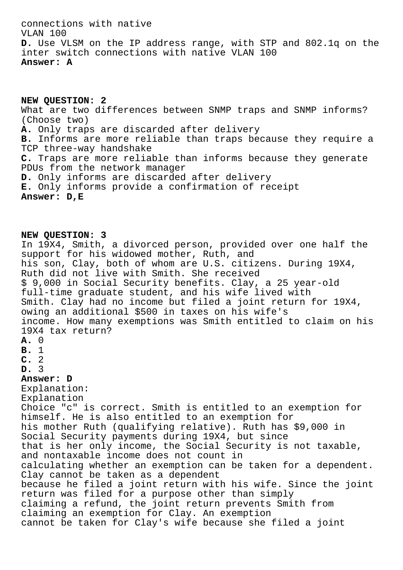connections with native VLAN 100 **D.** Use VLSM on the IP address range, with STP and 802.1q on the inter switch connections with native VLAN 100 **Answer: A**

**NEW QUESTION: 2** What are two differences between SNMP traps and SNMP informs? (Choose two) **A.** Only traps are discarded after delivery **B.** Informs are more reliable than traps because they require a TCP three-way handshake **C.** Traps are more reliable than informs because they generate PDUs from the network manager **D.** Only informs are discarded after delivery **E.** Only informs provide a confirmation of receipt **Answer: D,E**

**NEW QUESTION: 3** In 19X4, Smith, a divorced person, provided over one half the support for his widowed mother, Ruth, and his son, Clay, both of whom are U.S. citizens. During 19X4, Ruth did not live with Smith. She received \$ 9,000 in Social Security benefits. Clay, a 25 year-old full-time graduate student, and his wife lived with Smith. Clay had no income but filed a joint return for 19X4, owing an additional \$500 in taxes on his wife's income. How many exemptions was Smith entitled to claim on his 19X4 tax return? **A.** 0 **B.** 1 **C.** 2 **D.** 3 **Answer: D** Explanation: Explanation Choice "c" is correct. Smith is entitled to an exemption for himself. He is also entitled to an exemption for his mother Ruth (qualifying relative). Ruth has \$9,000 in Social Security payments during 19X4, but since that is her only income, the Social Security is not taxable, and nontaxable income does not count in calculating whether an exemption can be taken for a dependent. Clay cannot be taken as a dependent because he filed a joint return with his wife. Since the joint return was filed for a purpose other than simply claiming a refund, the joint return prevents Smith from claiming an exemption for Clay. An exemption cannot be taken for Clay's wife because she filed a joint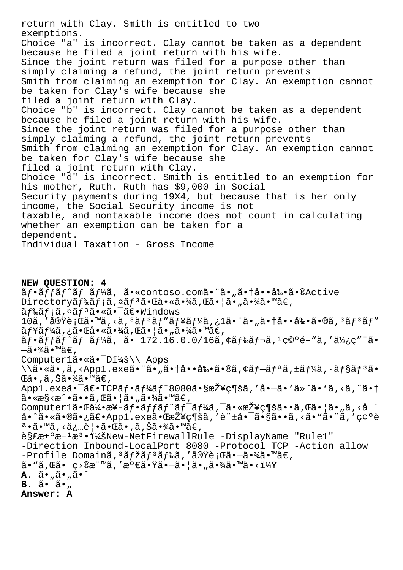return with Clay. Smith is entitled to two exemptions. Choice "a" is incorrect. Clay cannot be taken as a dependent because he filed a joint return with his wife. Since the joint return was filed for a purpose other than simply claiming a refund, the joint return prevents Smith from claiming an exemption for Clay. An exemption cannot be taken for Clay's wife because she filed a joint return with Clay. Choice "b" is incorrect. Clay cannot be taken as a dependent because he filed a joint return with his wife. Since the joint return was filed for a purpose other than simply claiming a refund, the joint return prevents Smith from claiming an exemption for Clay. An exemption cannot be taken for Clay's wife because she filed a joint return with Clay. Choice "d" is incorrect. Smith is entitled to an exemption for his mother, Ruth. Ruth has \$9,000 in Social Security payments during 19X4, but because that is her only income, the Social Security income is not taxable, and nontaxable income does not count in calculating whether an exemption can be taken for a dependent. Individual Taxation - Gross Income

NEW QUESTION: 4 ãf•ãffãf^ãf<sup>-</sup>ãf¼ã,<sup>-</sup>ã•«contoso.comã•"ã•"㕆啕剕ã•®Active Directoryãf‰ãf;ã,¤ãf<sup>3</sup>㕌啫㕾ã,Œã•¦ã•"㕾ã•™ã€, ãf‰ãf;ã,¤ãf<sup>3</sup>ã•«ã•<sup>-</sup>〕Windows 10ã,'実行ã•™ã,<ã,<sup>3</sup>ãf<sup>3</sup>ãf"ãf¥ãf¼ã,¿1㕨ã•"㕆啕剕ã•®ã,<sup>3</sup>ãf<sup>3</sup>ãf" ãf¥ãf¼ã,¿ã•Œå•«ã•¾ã,Œã•¦ã•"㕾ã•™ã€,  $\tilde{a}f\cdot\tilde{a}ff\tilde{a}f\tilde{a}f\tilde{a}f\tilde{a}f\tilde{a}$ ,  $\tilde{a}\cdot\tilde{a}f\cdot172.16.0.0/16\tilde{a}$ ,  $\tilde{a}f\tilde{a}f\cdot\tilde{a}f\cdot\tilde{a}f\cdot\tilde{a}f\cdot\tilde{a}f$  $-\tilde{a} \cdot \frac{3}{4}\tilde{a} \cdot \mathbb{M}$ ã $\in$  , Computerlã.«ã.<sup>-</sup>D:\\ Apps  $\iint_{\tilde{a} \cdot \tilde{a}} \tilde{a}$ , <Appl.exe㕨ã•"㕆啕剕ã•®ã,¢ãf-ãfªã,±ãf¼ã, •ãf§ãf<sup>3</sup>ã• ΋•,ã,Šã•¾ã•™ã€, App1.exe㕯〕TCPãf•ãf¼ãf^8080㕧接c¶šã,′å•–ã•`ä»~ã•`ã,<ã,^㕆  $\tilde{a}$ • «æ§ <æ^• $\tilde{a}$ •• $\tilde{a}$ , Œ $\tilde{a}$ • ¦ $\tilde{a}$ • " $\tilde{a}$ •¾ $\tilde{a}$ • ™ $\tilde{a}$ €, Computerlã. $\mathbb{G}^{\frac{1}{2}}$ .  $\mathbb{G}^{\frac{1}{2}}$ .  $\mathbb{G}^{\frac{1}{2}}$   $\mathbb{G}^{\frac{1}{2}}$ ,  $\mathbb{G}^{\frac{1}{2}}$ ,  $\mathbb{G}^{\frac{1}{2}}$ ,  $\mathbb{G}^{\frac{1}{2}}$ ,  $\mathbb{G}^{\frac{1}{2}}$ ,  $\mathbb{G}^{\frac{1}{2}}$ ,  $\mathbb{G}^{\frac{1}{2}}$ ,  $\mathbb{G}^{\frac{1}{2}}$ ,  $\mathbb{G}^{\frac{1}{$ å•^㕫㕮㕿〕App1.exe㕌接ç¶šã,′許啯ã•§ã••ã,<ã•"㕨ã,′確è  $a \cdot \tilde{a} \cdot \mathbb{M}$ ã, <必覕㕌ã•,ã,Šã•¾ã•™ã€, 解汰æ-1æ3•:New-NetFirewallRule -DisplayName "Rule1" -Direction Inbound-LocalPort 8080 -Protocol TCP -Action allow -Profile Domainã, 3ãfžãf 3ãf‰ã, '実行ã•-㕾ã•™ã€,  $\tilde{a}$ • "ã, Œã•¯ç>®æ¨™ã, '満㕟㕖㕦ã•"㕾ã•™ã•< $i\frac{1}{4}$ Ÿ  $\mathbf{A.}$   $\tilde{a} \cdot \tilde{a} \cdot \tilde{a} \cdot \tilde{a} \cdot \tilde{a}$  $B. \tilde{a} \cdot \tilde{a} \cdot ...$ Answer: A